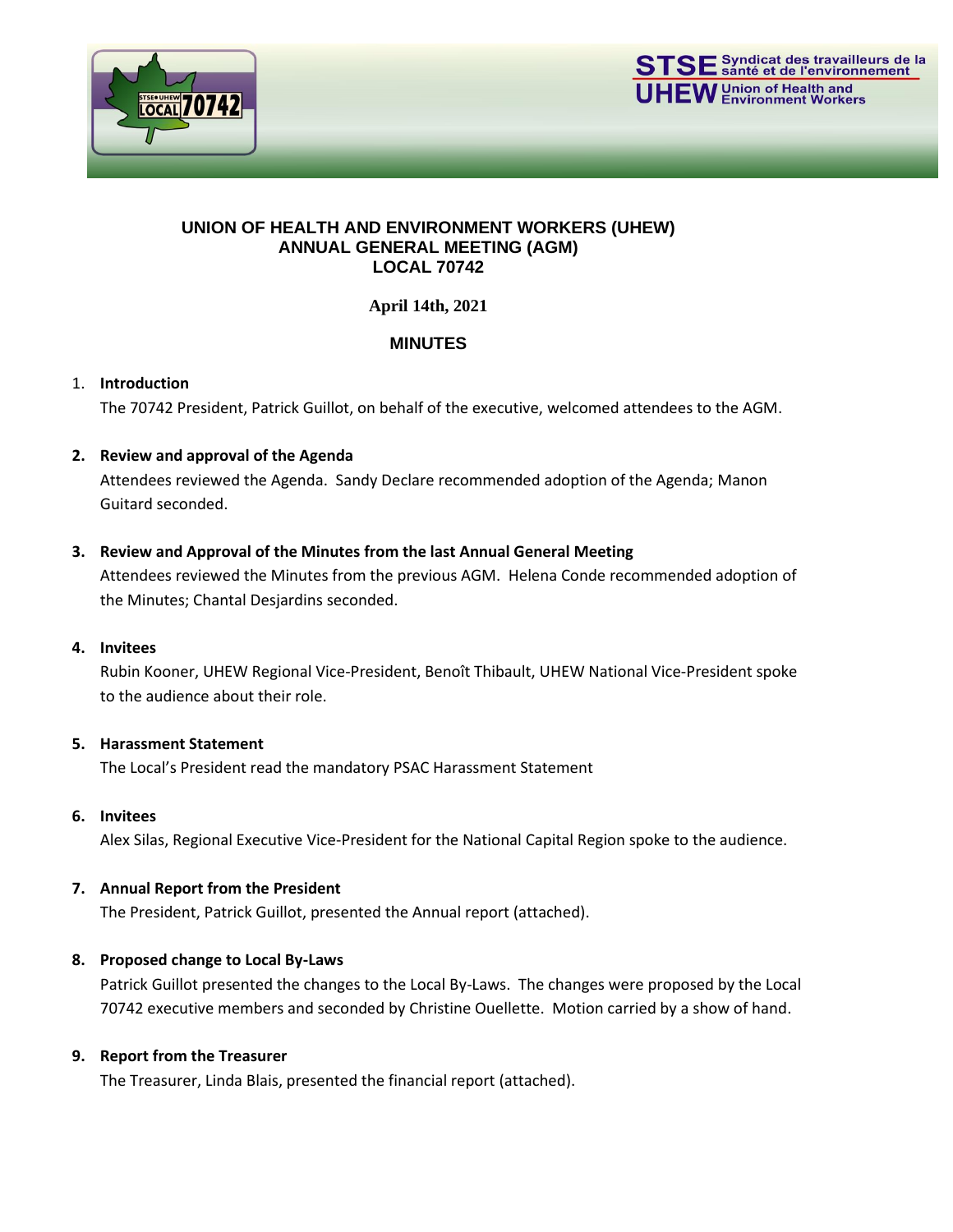



#### **UNION OF HEALTH AND ENVIRONMENT WORKERS (UHEW) ANNUAL GENERAL MEETING (AGM) LOCAL 70742**

**April 14th, 2021**

# **MINUTES**

## 1. **Introduction**

The 70742 President, Patrick Guillot, on behalf of the executive, welcomed attendees to the AGM.

## **2. Review and approval of the Agenda**

Attendees reviewed the Agenda. Sandy Declare recommended adoption of the Agenda; Manon Guitard seconded.

## **3. Review and Approval of the Minutes from the last Annual General Meeting**

Attendees reviewed the Minutes from the previous AGM. Helena Conde recommended adoption of the Minutes; Chantal Desjardins seconded.

#### **4. Invitees**

Rubin Kooner, UHEW Regional Vice-President, Benoît Thibault, UHEW National Vice-President spoke to the audience about their role.

## **5. Harassment Statement**

The Local's President read the mandatory PSAC Harassment Statement

#### **6. Invitees**

Alex Silas, Regional Executive Vice-President for the National Capital Region spoke to the audience.

#### **7. Annual Report from the President**

The President, Patrick Guillot, presented the Annual report (attached).

#### **8. Proposed change to Local By-Laws**

Patrick Guillot presented the changes to the Local By-Laws. The changes were proposed by the Local 70742 executive members and seconded by Christine Ouellette. Motion carried by a show of hand.

#### **9. Report from the Treasurer**

The Treasurer, Linda Blais, presented the financial report (attached).